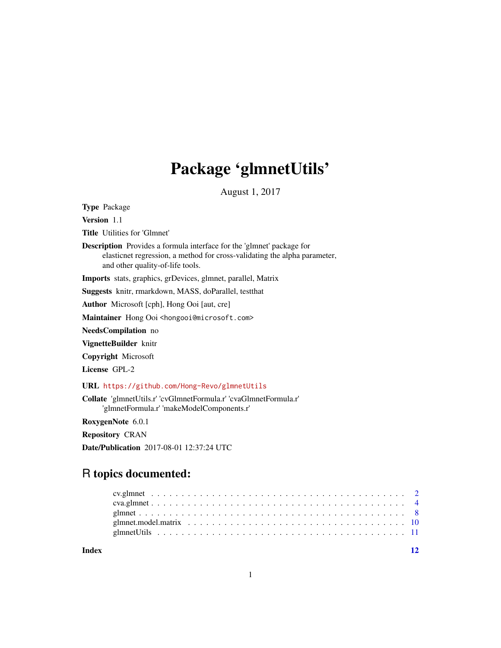# Package 'glmnetUtils'

August 1, 2017

<span id="page-0-0"></span>Type Package

Version 1.1

Title Utilities for 'Glmnet'

Description Provides a formula interface for the 'glmnet' package for elasticnet regression, a method for cross-validating the alpha parameter, and other quality-of-life tools.

Imports stats, graphics, grDevices, glmnet, parallel, Matrix

Suggests knitr, rmarkdown, MASS, doParallel, testthat

Author Microsoft [cph], Hong Ooi [aut, cre]

Maintainer Hong Ooi <hongooi@microsoft.com>

NeedsCompilation no

VignetteBuilder knitr

Copyright Microsoft

License GPL-2

URL <https://github.com/Hong-Revo/glmnetUtils>

Collate 'glmnetUtils.r' 'cvGlmnetFormula.r' 'cvaGlmnetFormula.r' 'glmnetFormula.r' 'makeModelComponents.r'

RoxygenNote 6.0.1

Repository CRAN

Date/Publication 2017-08-01 12:37:24 UTC

# R topics documented:

**Index** [12](#page-11-0)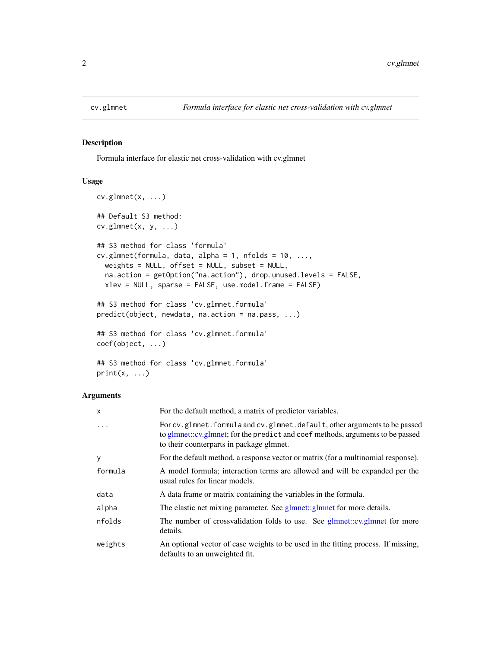<span id="page-1-0"></span>

# Description

Formula interface for elastic net cross-validation with cv.glmnet

# Usage

```
cv.glmnet(x, ...)
## Default S3 method:
cv.glmnet(x, y, ...)
## S3 method for class 'formula'
cv.glmnet(formula, data, alpha = 1, n folds = 10, ...,weights = NULL, offset = NULL, subset = NULL,
 na.action = getOption("na.action"), drop.unused.levels = FALSE,
 xlev = NULL, sparse = FALSE, use.model.frame = FALSE)
## S3 method for class 'cv.glmnet.formula'
predict(object, newdata, na.action = na.pass, ...)
## S3 method for class 'cv.glmnet.formula'
coef(object, ...)
## S3 method for class 'cv.glmnet.formula'
```
 $print(x, \ldots)$ 

# Arguments

| x       | For the default method, a matrix of predictor variables.                                                                                                                                                |
|---------|---------------------------------------------------------------------------------------------------------------------------------------------------------------------------------------------------------|
| .       | For cv.glmnet.formula and cv.glmnet.default, other arguments to be passed<br>to glmnet::cv.glmnet; for the predict and coef methods, arguments to be passed<br>to their counterparts in package glmnet. |
| у       | For the default method, a response vector or matrix (for a multinomial response).                                                                                                                       |
| formula | A model formula; interaction terms are allowed and will be expanded per the<br>usual rules for linear models.                                                                                           |
| data    | A data frame or matrix containing the variables in the formula.                                                                                                                                         |
| alpha   | The elastic net mixing parameter. See glmnet::glmnet for more details.                                                                                                                                  |
| nfolds  | The number of crossvalidation folds to use. See glmnet::cv.glmnet for more<br>details.                                                                                                                  |
| weights | An optional vector of case weights to be used in the fitting process. If missing,<br>defaults to an unweighted fit.                                                                                     |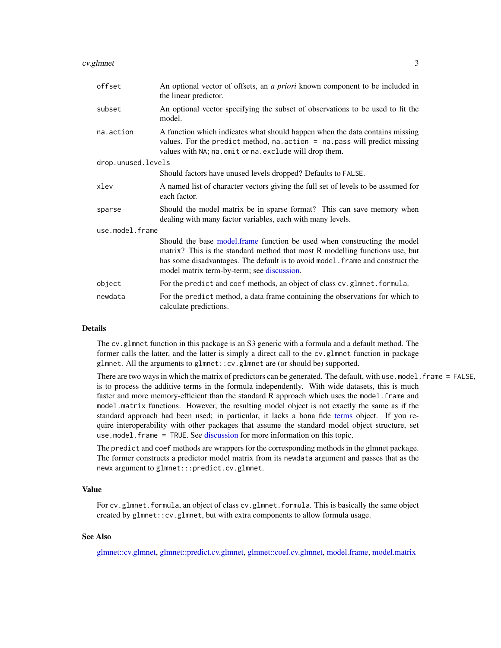### <span id="page-2-0"></span>cv.glmnet 3

| offset             | An optional vector of offsets, an a priori known component to be included in<br>the linear predictor.                                                                                                                                                                                     |  |  |  |  |  |  |
|--------------------|-------------------------------------------------------------------------------------------------------------------------------------------------------------------------------------------------------------------------------------------------------------------------------------------|--|--|--|--|--|--|
| subset             | An optional vector specifying the subset of observations to be used to fit the<br>model.                                                                                                                                                                                                  |  |  |  |  |  |  |
| na.action          | A function which indicates what should happen when the data contains missing<br>values. For the predict method, $na$ . $action = na$ . $pass will predict missing$<br>values with NA; na.omit or na.exclude will drop them.                                                               |  |  |  |  |  |  |
| drop.unused.levels |                                                                                                                                                                                                                                                                                           |  |  |  |  |  |  |
|                    | Should factors have unused levels dropped? Defaults to FALSE.                                                                                                                                                                                                                             |  |  |  |  |  |  |
| xlev               | A named list of character vectors giving the full set of levels to be assumed for<br>each factor.                                                                                                                                                                                         |  |  |  |  |  |  |
| sparse             | Should the model matrix be in sparse format? This can save memory when<br>dealing with many factor variables, each with many levels.                                                                                                                                                      |  |  |  |  |  |  |
| use.model.frame    |                                                                                                                                                                                                                                                                                           |  |  |  |  |  |  |
|                    | Should the base model. frame function be used when constructing the model<br>matrix? This is the standard method that most R modelling functions use, but<br>has some disadvantages. The default is to avoid model. frame and construct the<br>model matrix term-by-term; see discussion. |  |  |  |  |  |  |
| object             | For the predict and coef methods, an object of class cv.glmnet.formula.                                                                                                                                                                                                                   |  |  |  |  |  |  |
| newdata            | For the predict method, a data frame containing the observations for which to<br>calculate predictions.                                                                                                                                                                                   |  |  |  |  |  |  |

# Details

The cv.glmnet function in this package is an S3 generic with a formula and a default method. The former calls the latter, and the latter is simply a direct call to the cv.glmnet function in package glmnet. All the arguments to glmnet::cv.glmnet are (or should be) supported.

There are two ways in which the matrix of predictors can be generated. The default, with use model. frame = FALSE, is to process the additive terms in the formula independently. With wide datasets, this is much faster and more memory-efficient than the standard R approach which uses the model. frame and model.matrix functions. However, the resulting model object is not exactly the same as if the standard approach had been used; in particular, it lacks a bona fide [terms](#page-0-0) object. If you require interoperability with other packages that assume the standard model object structure, set use.model.frame = TRUE. See [discussion](#page-9-1) for more information on this topic.

The predict and coef methods are wrappers for the corresponding methods in the glmnet package. The former constructs a predictor model matrix from its newdata argument and passes that as the newx argument to glmnet:::predict.cv.glmnet.

# Value

For cv.glmnet.formula, an object of class cv.glmnet.formula. This is basically the same object created by glmnet::cv.glmnet, but with extra components to allow formula usage.

# See Also

[glmnet::cv.glmnet,](#page-0-0) [glmnet::predict.cv.glmnet,](#page-0-0) [glmnet::coef.cv.glmnet,](#page-0-0) [model.frame,](#page-0-0) [model.matrix](#page-0-0)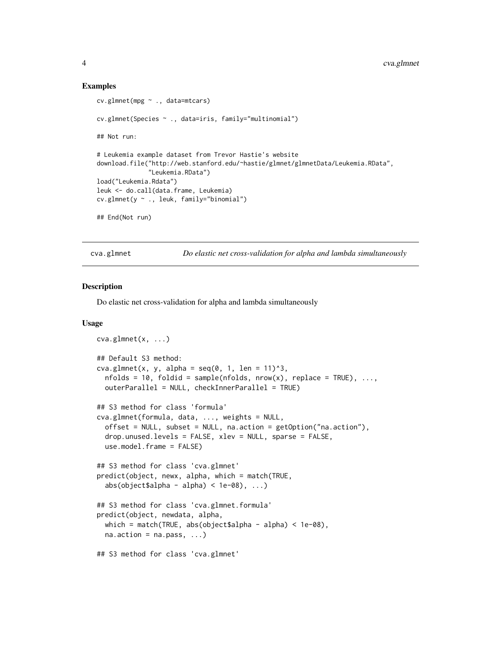# Examples

```
cv.glmnet(mpg ~ ., data=mtcars)
cv.glmnet(Species ~ ., data=iris, family="multinomial")
## Not run:
# Leukemia example dataset from Trevor Hastie's website
download.file("http://web.stanford.edu/~hastie/glmnet/glmnetData/Leukemia.RData",
              "Leukemia.RData")
load("Leukemia.Rdata")
leuk <- do.call(data.frame, Leukemia)
cv.glmnet(y ~ ., leuk, family="binomial")
## End(Not run)
```
<span id="page-3-1"></span>cva.glmnet *Do elastic net cross-validation for alpha and lambda simultaneously*

#### Description

Do elastic net cross-validation for alpha and lambda simultaneously

# Usage

```
cva.glmnet(x, ...)
## Default S3 method:
cva.glmnet(x, y, alpha = seq(0, 1, len = 11)^3,
  nfolds = 10, foldi = sample(nfolds, nrow(x), replace = TRUE), ...,outerParallel = NULL, checkInnerParallel = TRUE)
## S3 method for class 'formula'
cva.glmnet(formula, data, ..., weights = NULL,
  offset = NULL, subset = NULL, na.action = getOption("na.action"),
  drop.unused.levels = FALSE, xlev = NULL, sparse = FALSE,
  use.model.frame = FALSE)
## S3 method for class 'cva.glmnet'
predict(object, newx, alpha, which = match(TRUE,
  abs(object$alpha - alpha) < 1e-08), ...## S3 method for class 'cva.glmnet.formula'
predict(object, newdata, alpha,
  which = match(TRUE, abs(object$alpha - alpha) < 1e-08),
  na. action = na. pass, ...## S3 method for class 'cva.glmnet'
```
<span id="page-3-0"></span>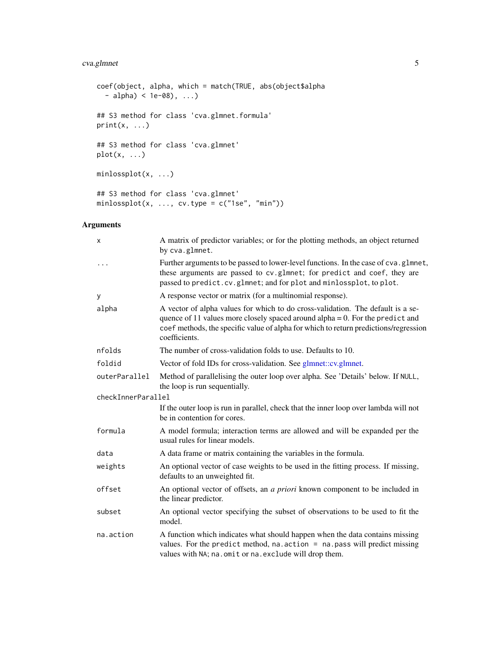# <span id="page-4-0"></span>cva.glmnet 5

```
coef(object, alpha, which = match(TRUE, abs(object$alpha
  - alpha) < 1e-08), ...)
## S3 method for class 'cva.glmnet.formula'
print(x, \ldots)## S3 method for class 'cva.glmnet'
plot(x, \ldots)minlossplot(x, ...)
## S3 method for class 'cva.glmnet'
minlossplot(x, ..., cv.type = c("1se", "min"))
```
# Arguments

| Χ                  | A matrix of predictor variables; or for the plotting methods, an object returned<br>by cva.glmnet.                                                                                                                                                                           |
|--------------------|------------------------------------------------------------------------------------------------------------------------------------------------------------------------------------------------------------------------------------------------------------------------------|
|                    | Further arguments to be passed to lower-level functions. In the case of cva.glmnet,<br>these arguments are passed to cv.glmnet; for predict and coef, they are<br>passed to predict.cv.glmnet; and for plot and minlossplot, to plot.                                        |
| У                  | A response vector or matrix (for a multinomial response).                                                                                                                                                                                                                    |
| alpha              | A vector of alpha values for which to do cross-validation. The default is a se-<br>quence of 11 values more closely spaced around alpha $= 0$ . For the predict and<br>coef methods, the specific value of alpha for which to return predictions/regression<br>coefficients. |
| nfolds             | The number of cross-validation folds to use. Defaults to 10.                                                                                                                                                                                                                 |
| foldid             | Vector of fold IDs for cross-validation. See glmnet::cv.glmnet.                                                                                                                                                                                                              |
| outerParallel      | Method of parallelising the outer loop over alpha. See 'Details' below. If NULL,<br>the loop is run sequentially.                                                                                                                                                            |
| checkInnerParallel |                                                                                                                                                                                                                                                                              |
|                    | If the outer loop is run in parallel, check that the inner loop over lambda will not<br>be in contention for cores.                                                                                                                                                          |
| formula            | A model formula; interaction terms are allowed and will be expanded per the<br>usual rules for linear models.                                                                                                                                                                |
| data               | A data frame or matrix containing the variables in the formula.                                                                                                                                                                                                              |
| weights            | An optional vector of case weights to be used in the fitting process. If missing,<br>defaults to an unweighted fit.                                                                                                                                                          |
| offset             | An optional vector of offsets, an a priori known component to be included in<br>the linear predictor.                                                                                                                                                                        |
| subset             | An optional vector specifying the subset of observations to be used to fit the<br>model.                                                                                                                                                                                     |
| na.action          | A function which indicates what should happen when the data contains missing<br>values. For the predict method, na. $action = na.pass will predict missing$<br>values with NA; na.omit or na.exclude will drop them.                                                         |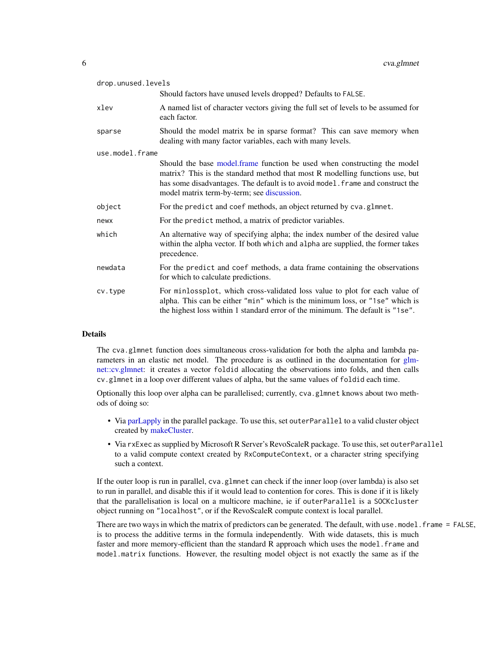<span id="page-5-0"></span>

| drop.unused.levels |                                                                                                                                                                                                                                                                                          |
|--------------------|------------------------------------------------------------------------------------------------------------------------------------------------------------------------------------------------------------------------------------------------------------------------------------------|
|                    | Should factors have unused levels dropped? Defaults to FALSE.                                                                                                                                                                                                                            |
| xlev               | A named list of character vectors giving the full set of levels to be assumed for<br>each factor.                                                                                                                                                                                        |
| sparse             | Should the model matrix be in sparse format? This can save memory when<br>dealing with many factor variables, each with many levels.                                                                                                                                                     |
| use.model.frame    |                                                                                                                                                                                                                                                                                          |
|                    | Should the base model.frame function be used when constructing the model<br>matrix? This is the standard method that most R modelling functions use, but<br>has some disadvantages. The default is to avoid model. frame and construct the<br>model matrix term-by-term; see discussion. |
| object             | For the predict and coef methods, an object returned by cva.glmnet.                                                                                                                                                                                                                      |
| newx               | For the predict method, a matrix of predictor variables.                                                                                                                                                                                                                                 |
| which              | An alternative way of specifying alpha; the index number of the desired value<br>within the alpha vector. If both which and alpha are supplied, the former takes<br>precedence.                                                                                                          |
| newdata            | For the predict and coef methods, a data frame containing the observations<br>for which to calculate predictions.                                                                                                                                                                        |
| cv.type            | For minlossplot, which cross-validated loss value to plot for each value of<br>alpha. This can be either "min" which is the minimum loss, or "1se" which is<br>the highest loss within 1 standard error of the minimum. The default is "1se".                                            |

# Details

The cva.glmnet function does simultaneous cross-validation for both the alpha and lambda parameters in an elastic net model. The procedure is as outlined in the documentation for [glm](#page-0-0)[net::cv.glmnet:](#page-0-0) it creates a vector foldid allocating the observations into folds, and then calls cv.glmnet in a loop over different values of alpha, but the same values of foldid each time.

Optionally this loop over alpha can be parallelised; currently, cva.glmnet knows about two methods of doing so:

- Via [parLapply](#page-0-0) in the parallel package. To use this, set outerParallel to a valid cluster object created by [makeCluster.](#page-0-0)
- Via rxExec as supplied by Microsoft R Server's RevoScaleR package. To use this, set outerParallel to a valid compute context created by RxComputeContext, or a character string specifying such a context.

If the outer loop is run in parallel, cva.glmnet can check if the inner loop (over lambda) is also set to run in parallel, and disable this if it would lead to contention for cores. This is done if it is likely that the parallelisation is local on a multicore machine, ie if outerParallel is a SOCKcluster object running on "localhost", or if the RevoScaleR compute context is local parallel.

There are two ways in which the matrix of predictors can be generated. The default, with use.model.frame = FALSE, is to process the additive terms in the formula independently. With wide datasets, this is much faster and more memory-efficient than the standard R approach which uses the model. frame and model.matrix functions. However, the resulting model object is not exactly the same as if the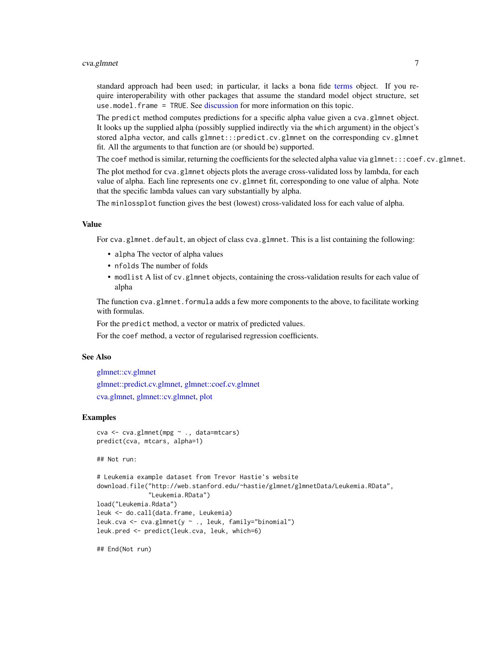### <span id="page-6-0"></span>cva.glmnet 7

standard approach had been used; in particular, it lacks a bona fide [terms](#page-0-0) object. If you require interoperability with other packages that assume the standard model object structure, set use.model.frame = TRUE. See [discussion](#page-9-1) for more information on this topic.

The predict method computes predictions for a specific alpha value given a cva.glmnet object. It looks up the supplied alpha (possibly supplied indirectly via the which argument) in the object's stored alpha vector, and calls glmnet:::predict.cv.glmnet on the corresponding cv.glmnet fit. All the arguments to that function are (or should be) supported.

The coef method is similar, returning the coefficients for the selected alpha value via glmnet:::coef.cv.glmnet.

The plot method for cva.glmnet objects plots the average cross-validated loss by lambda, for each value of alpha. Each line represents one cv.glmnet fit, corresponding to one value of alpha. Note that the specific lambda values can vary substantially by alpha.

The minlossplot function gives the best (lowest) cross-validated loss for each value of alpha.

#### Value

For cva.glmnet.default, an object of class cva.glmnet. This is a list containing the following:

- alpha The vector of alpha values
- nfolds The number of folds
- modlist A list of cv.glmnet objects, containing the cross-validation results for each value of alpha

The function cva.glmnet.formula adds a few more components to the above, to facilitate working with formulas.

For the predict method, a vector or matrix of predicted values.

For the coef method, a vector of regularised regression coefficients.

#### See Also

[glmnet::cv.glmnet](#page-0-0) [glmnet::predict.cv.glmnet,](#page-0-0) [glmnet::coef.cv.glmnet](#page-0-0) [cva.glmnet,](#page-3-1) [glmnet::cv.glmnet,](#page-0-0) [plot](#page-0-0)

# Examples

```
cva <- cva.glmnet(mpg ~ ., data=mtcars)
predict(cva, mtcars, alpha=1)
```
## Not run:

```
# Leukemia example dataset from Trevor Hastie's website
download.file("http://web.stanford.edu/~hastie/glmnet/glmnetData/Leukemia.RData",
              "Leukemia.RData")
load("Leukemia.Rdata")
leuk <- do.call(data.frame, Leukemia)
leuk.cva <- cva.glmnet(y ~ ., leuk, family="binomial")
leuk.pred <- predict(leuk.cva, leuk, which=6)
```
## End(Not run)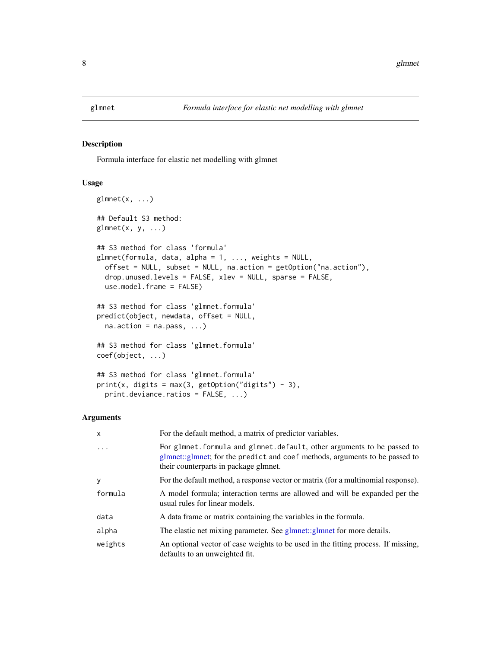<span id="page-7-0"></span>

# Description

Formula interface for elastic net modelling with glmnet

# Usage

```
glmnet(x, \ldots)## Default S3 method:
glmnet(x, y, ...)## S3 method for class 'formula'
glmnet(formula, data, alpha = 1, ..., weights = NULL,offset = NULL, subset = NULL, na.action = getOption("na.action"),
  drop.unused.levels = FALSE, xlev = NULL, sparse = FALSE,
  use.model.frame = FALSE)
## S3 method for class 'glmnet.formula'
predict(object, newdata, offset = NULL,
  na. action = na. pass, ...## S3 method for class 'glmnet.formula'
coef(object, ...)
## S3 method for class 'glmnet.formula'
print(x, \text{ digits} = max(3, \text{ getOption("digits")} - 3),print.deviance.ratios = FALSE, ...)
```
# Arguments

| $\mathsf{x}$ | For the default method, a matrix of predictor variables.                                                                                                                                         |
|--------------|--------------------------------------------------------------------------------------------------------------------------------------------------------------------------------------------------|
| $\ddots$ .   | For glmnet. formula and glmnet. default, other arguments to be passed to<br>glmnet::glmnet; for the predict and coef methods, arguments to be passed to<br>their counterparts in package glmnet. |
| <b>y</b>     | For the default method, a response vector or matrix (for a multinomial response).                                                                                                                |
| formula      | A model formula; interaction terms are allowed and will be expanded per the<br>usual rules for linear models.                                                                                    |
| data         | A data frame or matrix containing the variables in the formula.                                                                                                                                  |
| alpha        | The elastic net mixing parameter. See glmnet::glmnet for more details.                                                                                                                           |
| weights      | An optional vector of case weights to be used in the fitting process. If missing,<br>defaults to an unweighted fit.                                                                              |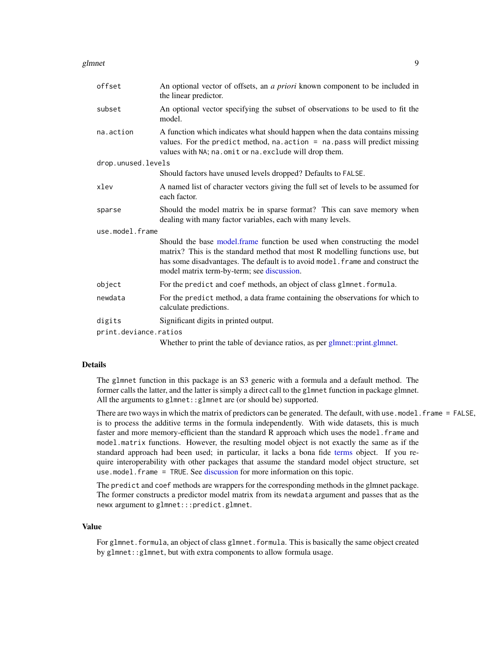### <span id="page-8-0"></span>glmnet to the set of the set of the set of the set of the set of the set of the set of the set of the set of the set of the set of the set of the set of the set of the set of the set of the set of the set of the set of the

| offset                | An optional vector of offsets, an <i>a priori</i> known component to be included in<br>the linear predictor.                                                                                                                                                                             |
|-----------------------|------------------------------------------------------------------------------------------------------------------------------------------------------------------------------------------------------------------------------------------------------------------------------------------|
| subset                | An optional vector specifying the subset of observations to be used to fit the<br>model.                                                                                                                                                                                                 |
| na.action             | A function which indicates what should happen when the data contains missing<br>values. For the predict method, $na$ . $action = na$ . $pass will predict missing$<br>values with NA; na.omit or na.exclude will drop them.                                                              |
| drop.unused.levels    |                                                                                                                                                                                                                                                                                          |
|                       | Should factors have unused levels dropped? Defaults to FALSE.                                                                                                                                                                                                                            |
| xlev                  | A named list of character vectors giving the full set of levels to be assumed for<br>each factor.                                                                                                                                                                                        |
| sparse                | Should the model matrix be in sparse format? This can save memory when<br>dealing with many factor variables, each with many levels.                                                                                                                                                     |
| use.model.frame       |                                                                                                                                                                                                                                                                                          |
|                       | Should the base model.frame function be used when constructing the model<br>matrix? This is the standard method that most R modelling functions use, but<br>has some disadvantages. The default is to avoid model. frame and construct the<br>model matrix term-by-term; see discussion. |
| object                | For the predict and coef methods, an object of class glmnet. formula.                                                                                                                                                                                                                    |
| newdata               | For the predict method, a data frame containing the observations for which to<br>calculate predictions.                                                                                                                                                                                  |
| digits                | Significant digits in printed output.                                                                                                                                                                                                                                                    |
| print.deviance.ratios |                                                                                                                                                                                                                                                                                          |
|                       | Whether to print the table of deviance ratios, as per glmnet::print.glmnet.                                                                                                                                                                                                              |

# Details

The glmnet function in this package is an S3 generic with a formula and a default method. The former calls the latter, and the latter is simply a direct call to the glmnet function in package glmnet. All the arguments to glmnet::glmnet are (or should be) supported.

There are two ways in which the matrix of predictors can be generated. The default, with use model. frame = FALSE, is to process the additive terms in the formula independently. With wide datasets, this is much faster and more memory-efficient than the standard R approach which uses the model. frame and model.matrix functions. However, the resulting model object is not exactly the same as if the standard approach had been used; in particular, it lacks a bona fide [terms](#page-0-0) object. If you require interoperability with other packages that assume the standard model object structure, set use.model.frame = TRUE. See [discussion](#page-9-1) for more information on this topic.

The predict and coef methods are wrappers for the corresponding methods in the glmnet package. The former constructs a predictor model matrix from its newdata argument and passes that as the newx argument to glmnet:::predict.glmnet.

# Value

For glmnet.formula, an object of class glmnet.formula. This is basically the same object created by glmnet::glmnet, but with extra components to allow formula usage.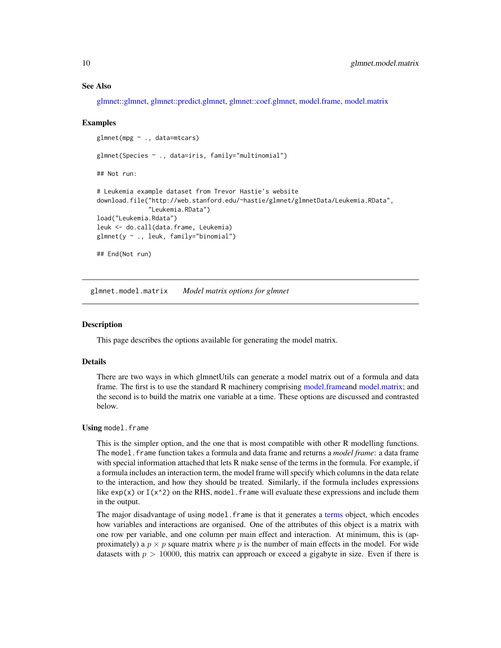# See Also

[glmnet::glmnet,](#page-0-0) [glmnet::predict.glmnet,](#page-0-0) [glmnet::coef.glmnet,](#page-0-0) [model.frame,](#page-0-0) [model.matrix](#page-0-0)

# Examples

```
glmnet(mpg ~ ., data=mtcars)
glmnet(Species ~ ., data=iris, family="multinomial")
## Not run:
# Leukemia example dataset from Trevor Hastie's website
download.file("http://web.stanford.edu/~hastie/glmnet/glmnetData/Leukemia.RData",
              "Leukemia.RData")
load("Leukemia.Rdata")
leuk <- do.call(data.frame, Leukemia)
glmnet(y ~ ., leuk, family="binomial")
## End(Not run)
```
<span id="page-9-1"></span>glmnet.model.matrix *Model matrix options for glmnet*

# Description

This page describes the options available for generating the model matrix.

#### Details

There are two ways in which glmnetUtils can generate a model matrix out of a formula and data frame. The first is to use the standard R machinery comprising [model.framea](#page-0-0)nd [model.matrix;](#page-0-0) and the second is to build the matrix one variable at a time. These options are discussed and contrasted below.

### Using model.frame

This is the simpler option, and the one that is most compatible with other R modelling functions. The model.frame function takes a formula and data frame and returns a *model frame*: a data frame with special information attached that lets R make sense of the terms in the formula. For example, if a formula includes an interaction term, the model frame will specify which columns in the data relate to the interaction, and how they should be treated. Similarly, if the formula includes expressions like  $exp(x)$  or  $I(x^2)$  on the RHS, model. frame will evaluate these expressions and include them in the output.

The major disadvantage of using model. frame is that it generates a [terms](#page-0-0) object, which encodes how variables and interactions are organised. One of the attributes of this object is a matrix with one row per variable, and one column per main effect and interaction. At minimum, this is (approximately) a  $p \times p$  square matrix where p is the number of main effects in the model. For wide datasets with  $p > 10000$ , this matrix can approach or exceed a gigabyte in size. Even if there is

<span id="page-9-0"></span>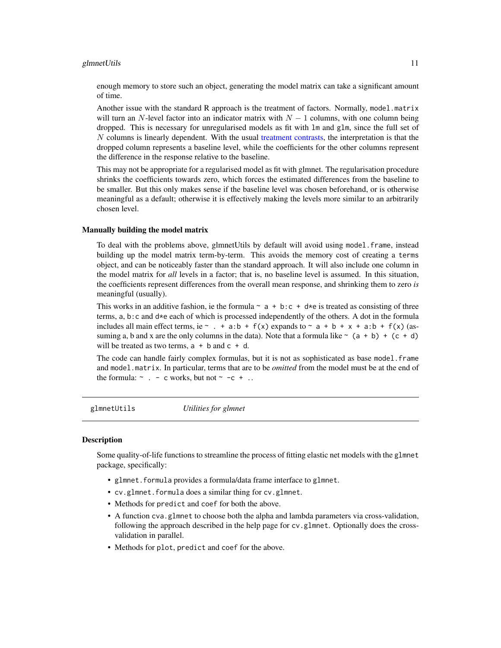### <span id="page-10-0"></span>glmnetUtils 2002 and 2003 and 2008 and 2008 and 2008 and 2008 and 2008 and 2008 and 2008 and 2008 and 2008 and 2008 and 2008 and 2008 and 2008 and 2008 and 2008 and 2008 and 2008 and 2008 and 2008 and 2008 and 2008 and 200

enough memory to store such an object, generating the model matrix can take a significant amount of time.

Another issue with the standard R approach is the treatment of factors. Normally, model.matrix will turn an N-level factor into an indicator matrix with  $N - 1$  columns, with one column being dropped. This is necessary for unregularised models as fit with lm and glm, since the full set of  $N$  columns is linearly dependent. With the usual [treatment contrasts,](#page-0-0) the interpretation is that the dropped column represents a baseline level, while the coefficients for the other columns represent the difference in the response relative to the baseline.

This may not be appropriate for a regularised model as fit with glmnet. The regularisation procedure shrinks the coefficients towards zero, which forces the estimated differences from the baseline to be smaller. But this only makes sense if the baseline level was chosen beforehand, or is otherwise meaningful as a default; otherwise it is effectively making the levels more similar to an arbitrarily chosen level.

# Manually building the model matrix

To deal with the problems above, glmnetUtils by default will avoid using model.frame, instead building up the model matrix term-by-term. This avoids the memory cost of creating a terms object, and can be noticeably faster than the standard approach. It will also include one column in the model matrix for *all* levels in a factor; that is, no baseline level is assumed. In this situation, the coefficients represent differences from the overall mean response, and shrinking them to zero *is* meaningful (usually).

This works in an additive fashion, ie the formula  $\sim a + b:c + d\star e$  is treated as consisting of three terms,  $a, b$ : c and  $d * e$  each of which is processed independently of the others. A dot in the formula includes all main effect terms, ie  $\sim$  . + a:b + f(x) expands to  $\sim$  a + b + x + a:b + f(x) (assuming a, b and x are the only columns in the data). Note that a formula like  $\sim$  (a + b) + (c + d) will be treated as two terms,  $a + b$  and  $c + d$ .

The code can handle fairly complex formulas, but it is not as sophisticated as base model.frame and model.matrix. In particular, terms that are to be *omitted* from the model must be at the end of the formula:  $\sim$  . - c works, but not  $\sim$  -c + ..

glmnetUtils *Utilities for glmnet*

# Description

Some quality-of-life functions to streamline the process of fitting elastic net models with the glmnet package, specifically:

- glmnet.formula provides a formula/data frame interface to glmnet.
- cv.glmnet.formula does a similar thing for cv.glmnet.
- Methods for predict and coef for both the above.
- A function cva.glmnet to choose both the alpha and lambda parameters via cross-validation, following the approach described in the help page for cv.glmnet. Optionally does the crossvalidation in parallel.
- Methods for plot, predict and coef for the above.